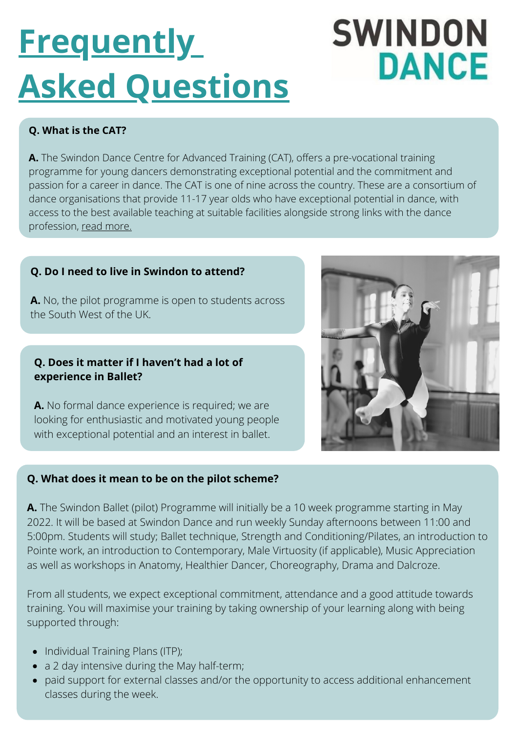# **Frequently Asked Questions**

## **SWINDON DANCE**

### **Q. What is the CAT?**

**A.** The Swindon Dance Centre for Advanced Training (CAT), offers a pre-vocational training programme for young dancers demonstrating exceptional potential and the commitment and passion for a career in dance. The CAT is one of nine across the country. These are a consortium of dance organisations that provide 11-17 year olds who have exceptional potential in dance, with access to the best available teaching at suitable facilities alongside strong links with the dance profession, read [more.](https://www.nationaldancecats.co.uk/)

#### **Q. Do I need to live in Swindon to attend?**

**A.** No, the pilot programme is open to students across the South West of the UK.

#### **Q. Does it matter if I haven't had a lot of experience in Ballet?**

**A.** No formal dance experience is required; we are looking for enthusiastic and motivated young people with exceptional potential and an interest in ballet.

#### **Q. What does it mean to be on the pilot scheme?**

**A.** The Swindon Ballet (pilot) Programme will initially be a 10 week programme starting in May 2022. It will be based at Swindon Dance and run weekly Sunday afternoons between 11:00 and 5:00pm. Students will study; Ballet technique, Strength and Conditioning/Pilates, an introduction to Pointe work, an introduction to Contemporary, Male Virtuosity (if applicable), Music Appreciation as well as workshops in Anatomy, Healthier Dancer, Choreography, Drama and Dalcroze.

From all students, we expect exceptional commitment, attendance and a good attitude towards training. You will maximise your training by taking ownership of your learning along with being supported through:

- Individual Training Plans (ITP);
- a 2 day intensive during the May half-term;
- paid support for external classes and/or the opportunity to access additional enhancement classes during the week.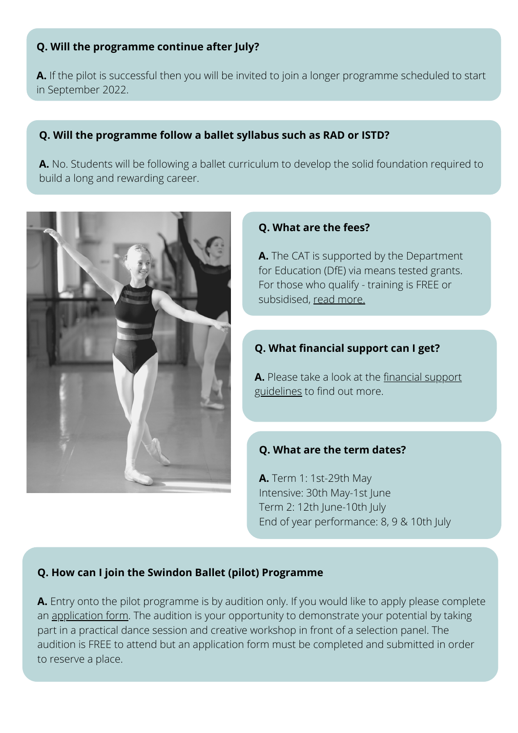#### **Q. Will the programme continue after July?**

**A.** If the pilot is successful then you will be invited to join a longer programme scheduled to start in September 2022.

#### **Q. Will the programme follow a ballet syllabus such as RAD or ISTD?**

**A.** No. Students will be following a ballet curriculum to develop the solid foundation required to build a long and rewarding career.



#### **Q. What are the fees?**

**A.** The CAT is supported by the Department for Education (DfE) via means tested grants. For those who qualify - training is FREE or subsidised, [read more.](https://www.swindondance.org.uk/wp-content/uploads/2022/03/SBP-May-2022-Grant-FAQs.pdf)

#### **Q. What financial support can I get?**

**A.** [Please take a look at the financial support](https://www.swindondance.org.uk/wp-content/uploads/2022/03/CAT-financial-support-guidelines-2022-PILOT-SBP.pdf) guidelines to find out more.

#### **Q. What are the term dates?**

**A.** Term 1: 1st-29th May Intensive: 30th May-1st June Term 2: 12th June-10th July End of year performance: 8, 9 & 10th July

#### **Q. How can I join the Swindon Ballet (pilot) Programme**

**A.** Entry onto the pilot programme is by audition only. If you would like to apply please complete an [application form](https://forms.gle/tUhDT3DoCChDgFfL7). The audition is your opportunity to demonstrate your potential by taking part in a practical dance session and creative workshop in front of a selection panel. The audition is FREE to attend but an application form must be completed and submitted in order to reserve a place.